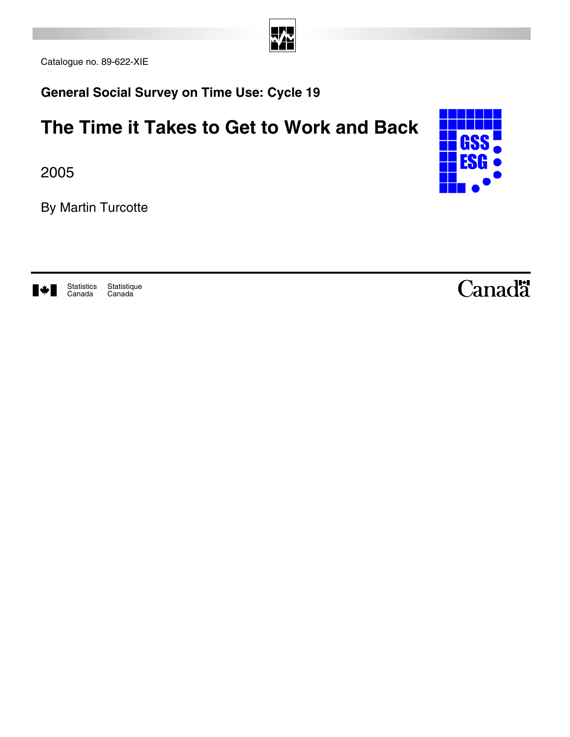

Catalogue no. 89-622-XIE

**General Social Survey on Time Use: Cycle 19** 

## **The Time it Takes to Get to Work and Back**

2005

By Martin Turcotte



▎▓▖▉

**Statistique** Canada Statistics Canada

## Canadä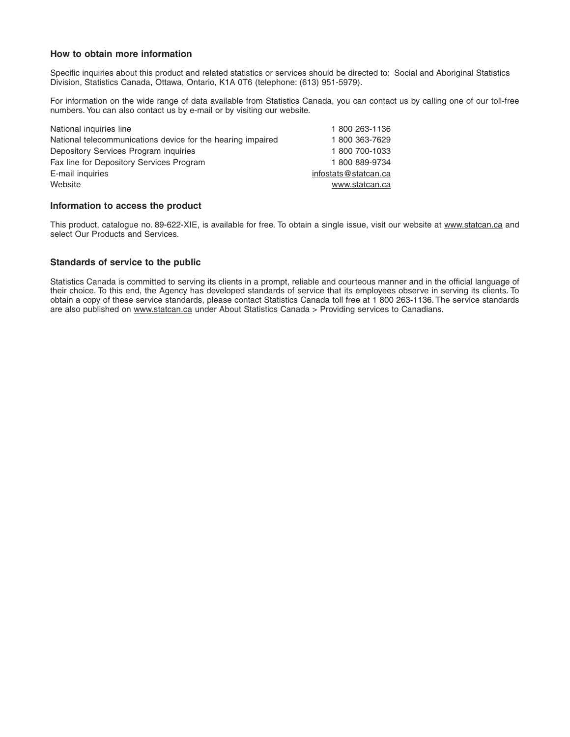#### **How to obtain more information**

Specific inquiries about this product and related statistics or services should be directed to: Social and Aboriginal Statistics Division, Statistics Canada, Ottawa, Ontario, K1A 0T6 (telephone: (613) 951-5979).

For information on the wide range of data available from Statistics Canada, you can contact us by calling one of our toll-free numbers. You can also contact us by e-mail or by visiting our website.

| National inquiries line                                     | 1800 263-1136        |
|-------------------------------------------------------------|----------------------|
| National telecommunications device for the hearing impaired | 1800 363-7629        |
| Depository Services Program inquiries                       | 1800 700-1033        |
| Fax line for Depository Services Program                    | 1800889-9734         |
| E-mail inquiries                                            | infostats@statcan.ca |
| Website                                                     | www.statcan.ca       |
|                                                             |                      |

#### **Information to access the product**

This product, catalogue no. 89-622-XIE, is available for free. To obtain a single issue, visit our website at www.statcan.ca and select Our Products and Services.

#### **Standards of service to the public**

Statistics Canada is committed to serving its clients in a prompt, reliable and courteous manner and in the official language of their choice. To this end, the Agency has developed standards of service that its employees observe in serving its clients. To obtain a copy of these service standards, please contact Statistics Canada toll free at 1 800 263-1136. The service standards are also published on www.statcan.ca under About Statistics Canada > Providing services to Canadians.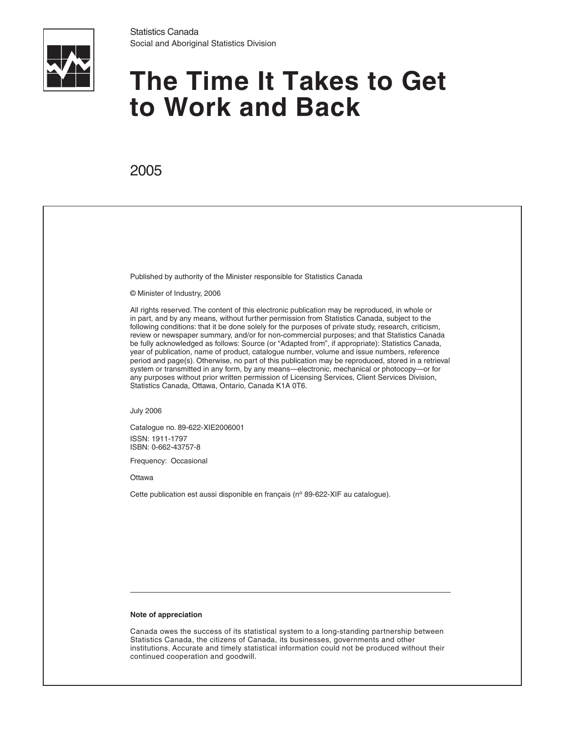

# **The Time It Takes to Get to Work and Back**

## 2005

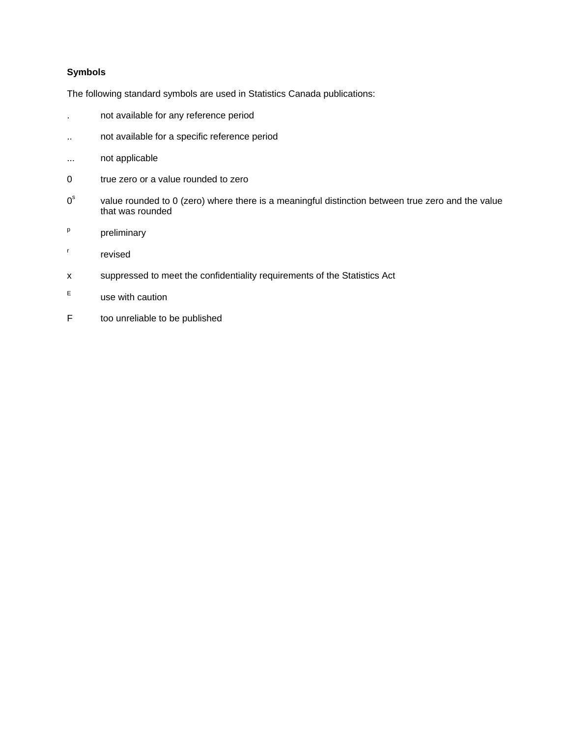#### **Symbols**

The following standard symbols are used in Statistics Canada publications:

- . not available for any reference period
- .. not available for a specific reference period
- ... not applicable
- 0 true zero or a value rounded to zero
- $0^{\rm s}$  value rounded to 0 (zero) where there is a meaningful distinction between true zero and the value that was rounded
- p preliminary
- r revised
- x suppressed to meet the confidentiality requirements of the Statistics Act
- E use with caution
- F too unreliable to be published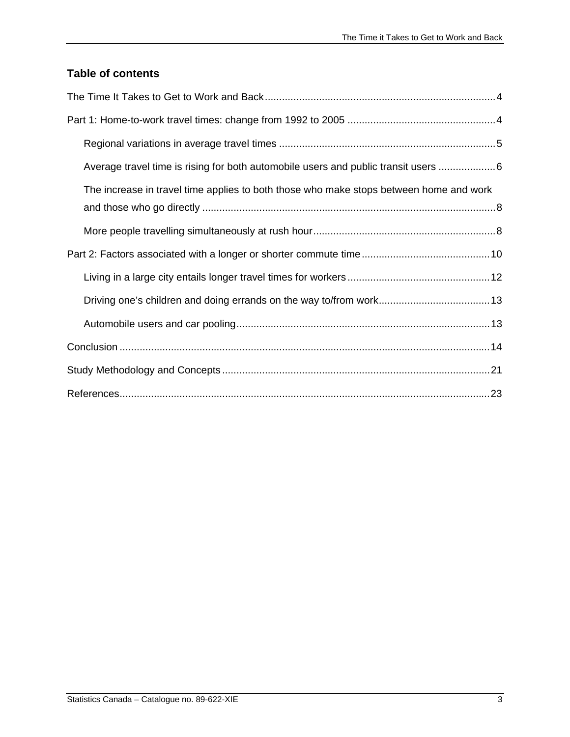### **Table of contents**

| Average travel time is rising for both automobile users and public transit users 6     |
|----------------------------------------------------------------------------------------|
| The increase in travel time applies to both those who make stops between home and work |
|                                                                                        |
|                                                                                        |
|                                                                                        |
|                                                                                        |
|                                                                                        |
|                                                                                        |
|                                                                                        |
|                                                                                        |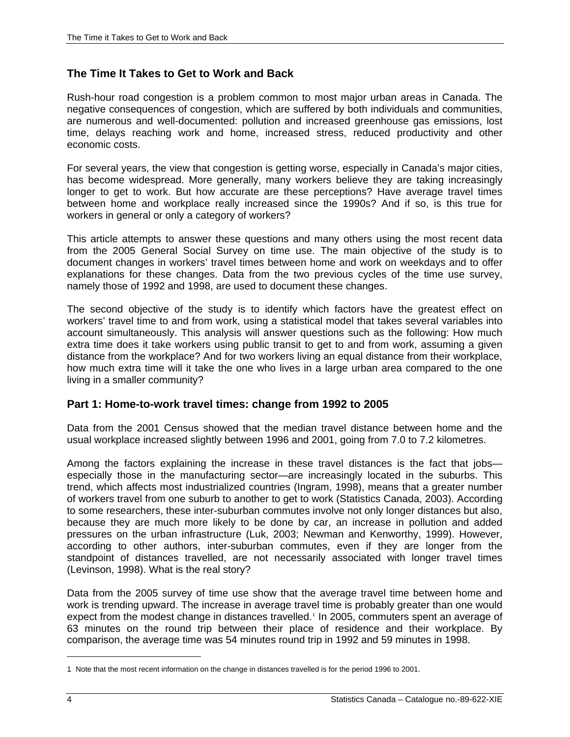#### <span id="page-5-0"></span>**The Time It Takes to Get to Work and Back**

Rush-hour road congestion is a problem common to most major urban areas in Canada. The negative consequences of congestion, which are suffered by both individuals and communities, are numerous and well-documented: pollution and increased greenhouse gas emissions, lost time, delays reaching work and home, increased stress, reduced productivity and other economic costs.

For several years, the view that congestion is getting worse, especially in Canada's major cities, has become widespread. More generally, many workers believe they are taking increasingly longer to get to work. But how accurate are these perceptions? Have average travel times between home and workplace really increased since the 1990s? And if so, is this true for workers in general or only a category of workers?

This article attempts to answer these questions and many others using the most recent data from the 2005 General Social Survey on time use. The main objective of the study is to document changes in workers' travel times between home and work on weekdays and to offer explanations for these changes. Data from the two previous cycles of the time use survey, namely those of 1992 and 1998, are used to document these changes.

The second objective of the study is to identify which factors have the greatest effect on workers' travel time to and from work, using a statistical model that takes several variables into account simultaneously. This analysis will answer questions such as the following: How much extra time does it take workers using public transit to get to and from work, assuming a given distance from the workplace? And for two workers living an equal distance from their workplace, how much extra time will it take the one who lives in a large urban area compared to the one living in a smaller community?

#### **Part 1: Home-to-work travel times: change from 1992 to 2005**

Data from the 2001 Census showed that the median travel distance between home and the usual workplace increased slightly between 1996 and 2001, going from 7.0 to 7.2 kilometres.

Among the factors explaining the increase in these travel distances is the fact that jobs especially those in the manufacturing sector—are increasingly located in the suburbs. This trend, which affects most industrialized countries (Ingram, 1998), means that a greater number of workers travel from one suburb to another to get to work (Statistics Canada, 2003). According to some researchers, these inter-suburban commutes involve not only longer distances but also, because they are much more likely to be done by car, an increase in pollution and added pressures on the urban infrastructure (Luk, 2003; Newman and Kenworthy, 1999). However, according to other authors, inter-suburban commutes, even if they are longer from the standpoint of distances travelled, are not necessarily associated with longer travel times (Levinson, 1998). What is the real story?

Data from the 2005 survey of time use show that the average travel time between home and work is trending upward. The increase in average travel time is probably greater than one would expect from the modest change in distances travelled.<sup>[1](#page-5-1)</sup> In 2005, commuters spent an average of 63 minutes on the round trip between their place of residence and their workplace. By comparison, the average time was 54 minutes round trip in 1992 and 59 minutes in 1998.

 $\ddot{\phantom{a}}$ 

<span id="page-5-1"></span><sup>1.</sup> Note that the most recent information on the change in distances travelled is for the period 1996 to 2001.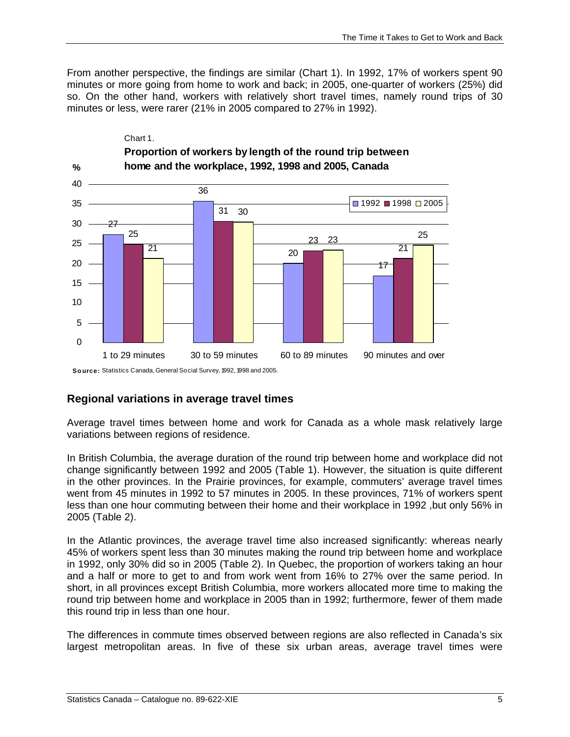<span id="page-6-0"></span>From another perspective, the findings are similar (Chart 1). In 1992, 17% of workers spent 90 minutes or more going from home to work and back; in 2005, one-quarter of workers (25%) did so. On the other hand, workers with relatively short travel times, namely round trips of 30 minutes or less, were rarer (21% in 2005 compared to 27% in 1992).



#### **Regional variations in average travel times**

Average travel times between home and work for Canada as a whole mask relatively large variations between regions of residence.

In British Columbia, the average duration of the round trip between home and workplace did not change significantly between 1992 and 2005 (Table 1). However, the situation is quite different in the other provinces. In the Prairie provinces, for example, commuters' average travel times went from 45 minutes in 1992 to 57 minutes in 2005. In these provinces, 71% of workers spent less than one hour commuting between their home and their workplace in 1992, but only 56% in 2005 (Table 2).

In the Atlantic provinces, the average travel time also increased significantly: whereas nearly 45% of workers spent less than 30 minutes making the round trip between home and workplace in 1992, only 30% did so in 2005 (Table 2). In Quebec, the proportion of workers taking an hour and a half or more to get to and from work went from 16% to 27% over the same period. In short, in all provinces except British Columbia, more workers allocated more time to making the round trip between home and workplace in 2005 than in 1992; furthermore, fewer of them made this round trip in less than one hour.

The differences in commute times observed between regions are also reflected in Canada's six largest metropolitan areas. In five of these six urban areas, average travel times were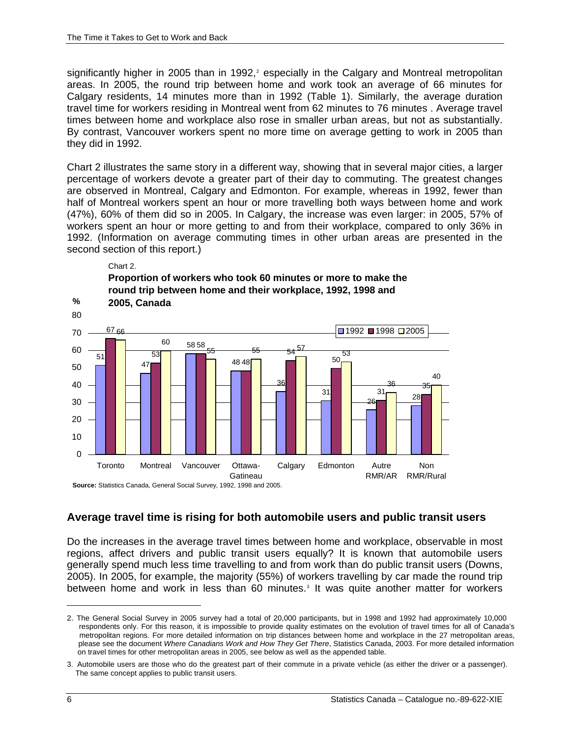<span id="page-7-0"></span>significantly higher in [2](#page-7-1)005 than in 1992,<sup>2</sup> especially in the Calgary and Montreal metropolitan areas. In 2005, the round trip between home and work took an average of 66 minutes for Calgary residents, 14 minutes more than in 1992 (Table 1). Similarly, the average duration travel time for workers residing in Montreal went from 62 minutes to 76 minutes . Average travel times between home and workplace also rose in smaller urban areas, but not as substantially. By contrast, Vancouver workers spent no more time on average getting to work in 2005 than they did in 1992.

Chart 2 illustrates the same story in a different way, showing that in several major cities, a larger percentage of workers devote a greater part of their day to commuting. The greatest changes are observed in Montreal, Calgary and Edmonton. For example, whereas in 1992, fewer than half of Montreal workers spent an hour or more travelling both ways between home and work (47%), 60% of them did so in 2005. In Calgary, the increase was even larger: in 2005, 57% of workers spent an hour or more getting to and from their workplace, compared to only 36% in 1992. (Information on average commuting times in other urban areas are presented in the second section of this report.)



**Average travel time is rising for both automobile users and public transit users** 

Do the increases in the average travel times between home and workplace, observable in most regions, affect drivers and public transit users equally? It is known that automobile users generally spend much less time travelling to and from work than do public transit users (Downs, 2005). In 2005, for example, the majority (55%) of workers travelling by car made the round trip between home and work in less than 60 minutes.<sup>[3](#page-7-2)</sup> It was quite another matter for workers

-

<span id="page-7-1"></span><sup>2..</sup> The General Social Survey in 2005 survey had a total of 20,000 participants, but in 1998 and 1992 had approximately 10,000 respondents only. For this reason, it is impossible to provide quality estimates on the evolution of travel times for all of Canada's metropolitan regions. For more detailed information on trip distances between home and workplace in the 27 metropolitan areas, please see the document *Where Canadians Work and How They Get There*, Statistics Canada, 2003. For more detailed information on travel times for other metropolitan areas in 2005, see below as well as the appended table.

<span id="page-7-2"></span><sup>3.</sup> Automobile users are those who do the greatest part of their commute in a private vehicle (as either the driver or a passenger). The same concept applies to public transit users.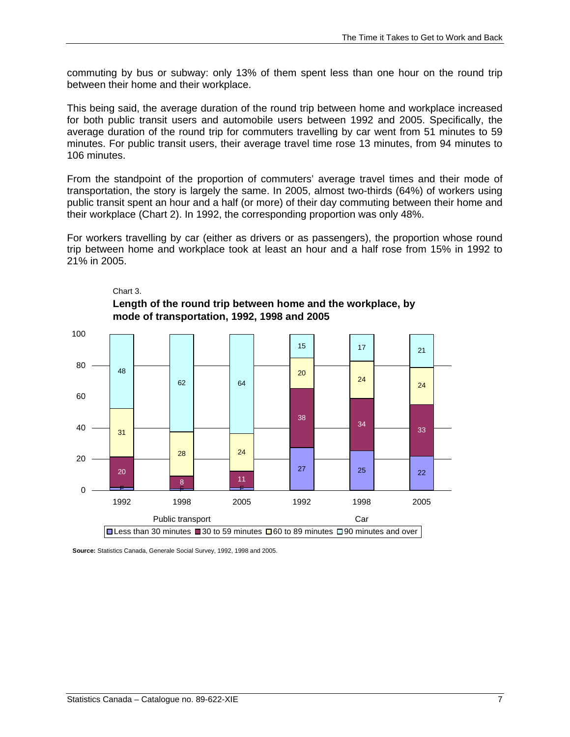commuting by bus or subway: only 13% of them spent less than one hour on the round trip between their home and their workplace.

This being said, the average duration of the round trip between home and workplace increased for both public transit users and automobile users between 1992 and 2005. Specifically, the average duration of the round trip for commuters travelling by car went from 51 minutes to 59 minutes. For public transit users, their average travel time rose 13 minutes, from 94 minutes to 106 minutes.

From the standpoint of the proportion of commuters' average travel times and their mode of transportation, the story is largely the same. In 2005, almost two-thirds (64%) of workers using public transit spent an hour and a half (or more) of their day commuting between their home and their workplace (Chart 2). In 1992, the corresponding proportion was only 48%.

For workers travelling by car (either as drivers or as passengers), the proportion whose round trip between home and workplace took at least an hour and a half rose from 15% in 1992 to 21% in 2005.



#### Chart 3. **Length of the round trip between home and the workplace, by mode of transportation, 1992, 1998 and 2005**

**Source:** Statistics Canada, Generale Social Survey, 1992, 1998 and 2005.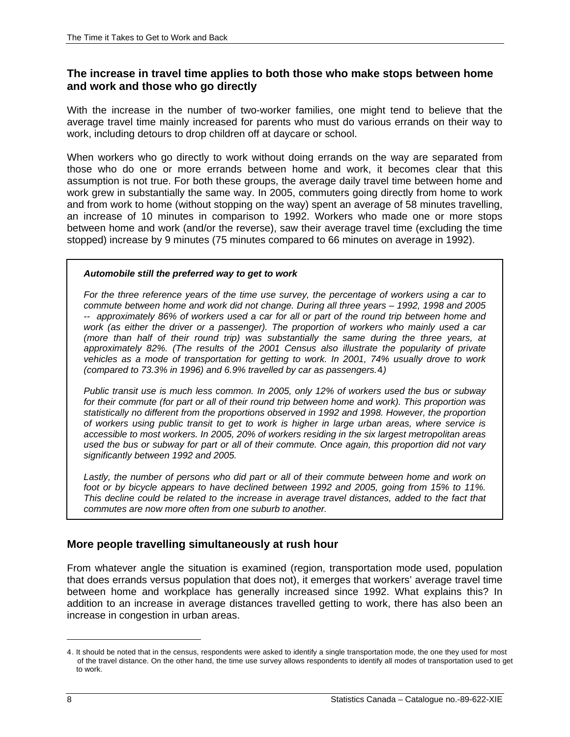#### <span id="page-9-0"></span>**The increase in travel time applies to both those who make stops between home and work and those who go directly**

With the increase in the number of two-worker families, one might tend to believe that the average travel time mainly increased for parents who must do various errands on their way to work, including detours to drop children off at daycare or school.

When workers who go directly to work without doing errands on the way are separated from those who do one or more errands between home and work, it becomes clear that this assumption is not true. For both these groups, the average daily travel time between home and work grew in substantially the same way. In 2005, commuters going directly from home to work and from work to home (without stopping on the way) spent an average of 58 minutes travelling, an increase of 10 minutes in comparison to 1992. Workers who made one or more stops between home and work (and/or the reverse), saw their average travel time (excluding the time stopped) increase by 9 minutes (75 minutes compared to 66 minutes on average in 1992).

#### *Automobile still the preferred way to get to work*

*For the three reference years of the time use survey, the percentage of workers using a car to commute between home and work did not change. During all three years – 1992, 1998 and 2005 -- approximately 86% of workers used a car for all or part of the round trip between home and work (as either the driver or a passenger). The proportion of workers who mainly used a car (more than half of their round trip) was substantially the same during the three years, at approximately 82%. (The results of the 2001 Census also illustrate the popularity of private vehicles as a mode of transportation for getting to work. In 2001, 74% usually drove to work (compared to 73.3% in 1996) and 6.9% travelled by car as passengers.*[4](#page-9-1)*)*

*Public transit use is much less common. In 2005, only 12% of workers used the bus or subway for their commute (for part or all of their round trip between home and work). This proportion was statistically no different from the proportions observed in 1992 and 1998. However, the proportion of workers using public transit to get to work is higher in large urban areas, where service is accessible to most workers. In 2005, 20% of workers residing in the six largest metropolitan areas used the bus or subway for part or all of their commute. Once again, this proportion did not vary significantly between 1992 and 2005.* 

Lastly, the number of persons who did part or all of their commute between home and work on *foot or by bicycle appears to have declined between 1992 and 2005, going from 15% to 11%. This decline could be related to the increase in average travel distances, added to the fact that commutes are now more often from one suburb to another.*

#### **More people travelling simultaneously at rush hour**

From whatever angle the situation is examined (region, transportation mode used, population that does errands versus population that does not), it emerges that workers' average travel time between home and workplace has generally increased since 1992. What explains this? In addition to an increase in average distances travelled getting to work, there has also been an increase in congestion in urban areas.

 $\overline{a}$ 

<span id="page-9-1"></span><sup>4</sup>. It should be noted that in the census, respondents were asked to identify a single transportation mode, the one they used for most of the travel distance. On the other hand, the time use survey allows respondents to identify all modes of transportation used to get to work.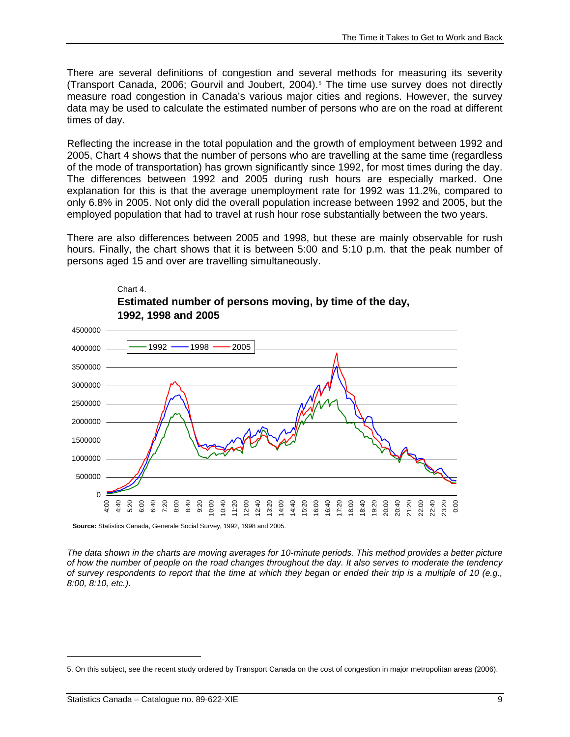There are several definitions of congestion and several methods for measuring its severity (Transport Canada, 2006; Gourvil and Joubert, 2004).<sup>[5](#page-10-0)</sup> The time use survey does not directly measure road congestion in Canada's various major cities and regions. However, the survey data may be used to calculate the estimated number of persons who are on the road at different times of day.

Reflecting the increase in the total population and the growth of employment between 1992 and 2005, Chart 4 shows that the number of persons who are travelling at the same time (regardless of the mode of transportation) has grown significantly since 1992, for most times during the day. The differences between 1992 and 2005 during rush hours are especially marked. One explanation for this is that the average unemployment rate for 1992 was 11.2%, compared to only 6.8% in 2005. Not only did the overall population increase between 1992 and 2005, but the employed population that had to travel at rush hour rose substantially between the two years.

There are also differences between 2005 and 1998, but these are mainly observable for rush hours. Finally, the chart shows that it is between 5:00 and 5:10 p.m. that the peak number of persons aged 15 and over are travelling simultaneously.



**Estimated number of persons moving, by time of the day, 1992, 1998 and 2005**

Chart 4.

**Source:** Statistics Canada, Generale Social Survey, 1992, 1998 and 2005.

*The data shown in the charts are moving averages for 10-minute periods. This method provides a better picture of how the number of people on the road changes throughout the day. It also serves to moderate the tendency of survey respondents to report that the time at which they began or ended their trip is a multiple of 10 (e.g., 8:00, 8:10, etc.).* 

 $\ddot{\phantom{a}}$ 

<span id="page-10-0"></span><sup>5.</sup> On this subject, see the recent study ordered by Transport Canada on the cost of congestion in major metropolitan areas (2006).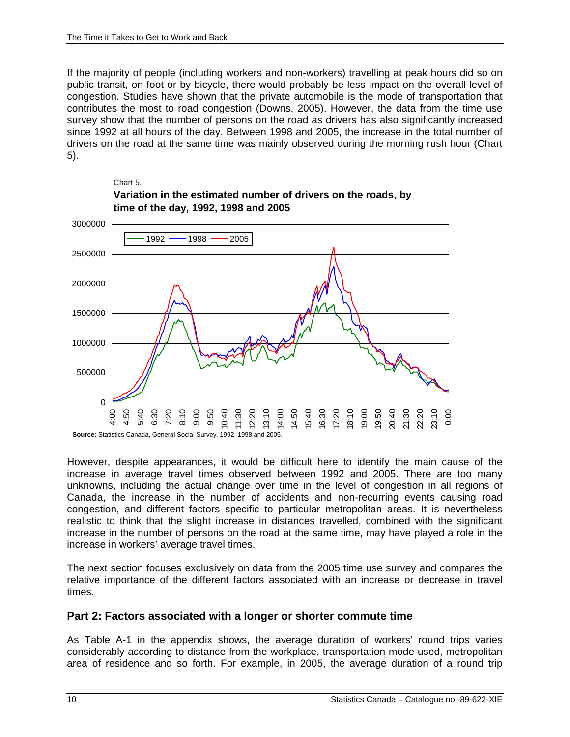Chart 5.

<span id="page-11-0"></span>If the majority of people (including workers and non-workers) travelling at peak hours did so on public transit, on foot or by bicycle, there would probably be less impact on the overall level of congestion. Studies have shown that the private automobile is the mode of transportation that contributes the most to road congestion (Downs, 2005). However, the data from the time use survey show that the number of persons on the road as drivers has also significantly increased since 1992 at all hours of the day. Between 1998 and 2005, the increase in the total number of drivers on the road at the same time was mainly observed during the morning rush hour (Chart 5).



**Variation in the estimated number of drivers on the roads, by time of the day, 1992, 1998 and 2005**

However, despite appearances, it would be difficult here to identify the main cause of the increase in average travel times observed between 1992 and 2005. There are too many unknowns, including the actual change over time in the level of congestion in all regions of Canada, the increase in the number of accidents and non-recurring events causing road congestion, and different factors specific to particular metropolitan areas. It is nevertheless realistic to think that the slight increase in distances travelled, combined with the significant increase in the number of persons on the road at the same time, may have played a role in the increase in workers' average travel times.

The next section focuses exclusively on data from the 2005 time use survey and compares the relative importance of the different factors associated with an increase or decrease in travel times.

#### **Part 2: Factors associated with a longer or shorter commute time**

As Table A-1 in the appendix shows, the average duration of workers' round trips varies considerably according to distance from the workplace, transportation mode used, metropolitan area of residence and so forth. For example, in 2005, the average duration of a round trip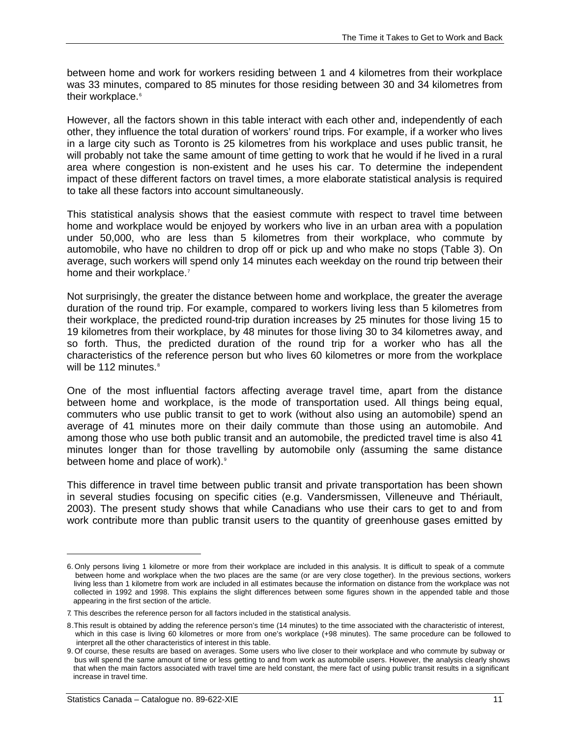between home and work for workers residing between 1 and 4 kilometres from their workplace was 33 minutes, compared to 85 minutes for those residing between 30 and 34 kilometres from their workplace.<sup>[6](#page-12-0)</sup>

However, all the factors shown in this table interact with each other and, independently of each other, they influence the total duration of workers' round trips. For example, if a worker who lives in a large city such as Toronto is 25 kilometres from his workplace and uses public transit, he will probably not take the same amount of time getting to work that he would if he lived in a rural area where congestion is non-existent and he uses his car. To determine the independent impact of these different factors on travel times, a more elaborate statistical analysis is required to take all these factors into account simultaneously.

This statistical analysis shows that the easiest commute with respect to travel time between home and workplace would be enjoyed by workers who live in an urban area with a population under 50,000, who are less than 5 kilometres from their workplace, who commute by automobile, who have no children to drop off or pick up and who make no stops (Table 3). On average, such workers will spend only 14 minutes each weekday on the round trip between their home and their workplace.<sup>[7](#page-12-1)</sup>

Not surprisingly, the greater the distance between home and workplace, the greater the average duration of the round trip. For example, compared to workers living less than 5 kilometres from their workplace, the predicted round-trip duration increases by 25 minutes for those living 15 to 19 kilometres from their workplace, by 48 minutes for those living 30 to 34 kilometres away, and so forth. Thus, the predicted duration of the round trip for a worker who has all the characteristics of the reference person but who lives 60 kilometres or more from the workplace will be 112 minutes. $8$ 

One of the most influential factors affecting average travel time, apart from the distance between home and workplace, is the mode of transportation used. All things being equal, commuters who use public transit to get to work (without also using an automobile) spend an average of 41 minutes more on their daily commute than those using an automobile. And among those who use both public transit and an automobile, the predicted travel time is also 41 minutes longer than for those travelling by automobile only (assuming the same distance between home and place of work).<sup>[9](#page-12-3)</sup>

This difference in travel time between public transit and private transportation has been shown in several studies focusing on specific cities (e.g. Vandersmissen, Villeneuve and Thériault, 2003). The present study shows that while Canadians who use their cars to get to and from work contribute more than public transit users to the quantity of greenhouse gases emitted by

 $\overline{a}$ 

<span id="page-12-0"></span><sup>6.</sup> Only persons living 1 kilometre or more from their workplace are included in this analysis. It is difficult to speak of a commute between home and workplace when the two places are the same (or are very close together). In the previous sections, workers living less than 1 kilometre from work are included in all estimates because the information on distance from the workplace was not collected in 1992 and 1998. This explains the slight differences between some figures shown in the appended table and those appearing in the first section of the article.

<span id="page-12-2"></span><span id="page-12-1"></span><sup>7.</sup> This describes the reference person for all factors included in the statistical analysis.

<sup>8</sup>.This result is obtained by adding the reference person's time (14 minutes) to the time associated with the characteristic of interest, which in this case is living 60 kilometres or more from one's workplace (+98 minutes). The same procedure can be followed to interpret all the other characteristics of interest in this table.

<span id="page-12-3"></span><sup>9.</sup> Of course, these results are based on averages. Some users who live closer to their workplace and who commute by subway or bus will spend the same amount of time or less getting to and from work as automobile users. However, the analysis clearly shows that when the main factors associated with travel time are held constant, the mere fact of using public transit results in a significant increase in travel time.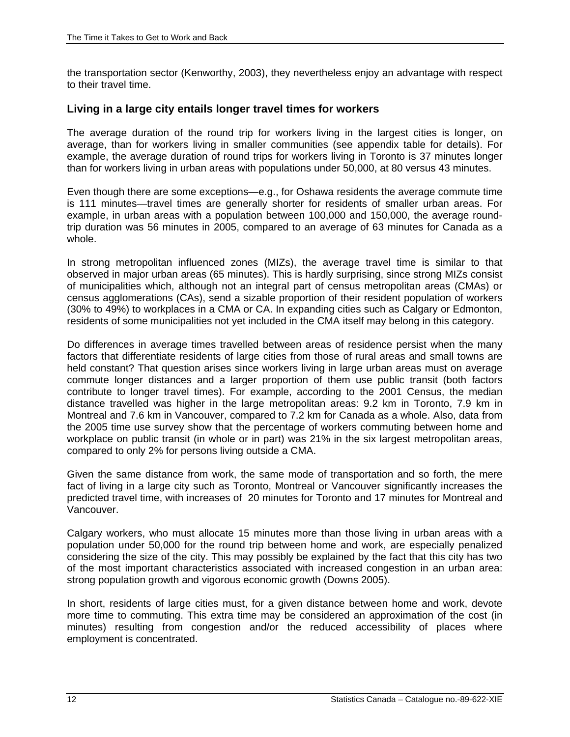<span id="page-13-0"></span>the transportation sector (Kenworthy, 2003), they nevertheless enjoy an advantage with respect to their travel time.

#### **Living in a large city entails longer travel times for workers**

The average duration of the round trip for workers living in the largest cities is longer, on average, than for workers living in smaller communities (see appendix table for details). For example, the average duration of round trips for workers living in Toronto is 37 minutes longer than for workers living in urban areas with populations under 50,000, at 80 versus 43 minutes.

Even though there are some exceptions—e.g., for Oshawa residents the average commute time is 111 minutes—travel times are generally shorter for residents of smaller urban areas. For example, in urban areas with a population between 100,000 and 150,000, the average roundtrip duration was 56 minutes in 2005, compared to an average of 63 minutes for Canada as a whole.

In strong metropolitan influenced zones (MIZs), the average travel time is similar to that observed in major urban areas (65 minutes). This is hardly surprising, since strong MIZs consist of municipalities which, although not an integral part of census metropolitan areas (CMAs) or census agglomerations (CAs), send a sizable proportion of their resident population of workers (30% to 49%) to workplaces in a CMA or CA. In expanding cities such as Calgary or Edmonton, residents of some municipalities not yet included in the CMA itself may belong in this category.

Do differences in average times travelled between areas of residence persist when the many factors that differentiate residents of large cities from those of rural areas and small towns are held constant? That question arises since workers living in large urban areas must on average commute longer distances and a larger proportion of them use public transit (both factors contribute to longer travel times). For example, according to the 2001 Census, the median distance travelled was higher in the large metropolitan areas: 9.2 km in Toronto, 7.9 km in Montreal and 7.6 km in Vancouver, compared to 7.2 km for Canada as a whole. Also, data from the 2005 time use survey show that the percentage of workers commuting between home and workplace on public transit (in whole or in part) was 21% in the six largest metropolitan areas, compared to only 2% for persons living outside a CMA.

Given the same distance from work, the same mode of transportation and so forth, the mere fact of living in a large city such as Toronto, Montreal or Vancouver significantly increases the predicted travel time, with increases of 20 minutes for Toronto and 17 minutes for Montreal and Vancouver.

Calgary workers, who must allocate 15 minutes more than those living in urban areas with a population under 50,000 for the round trip between home and work, are especially penalized considering the size of the city. This may possibly be explained by the fact that this city has two of the most important characteristics associated with increased congestion in an urban area: strong population growth and vigorous economic growth (Downs 2005).

In short, residents of large cities must, for a given distance between home and work, devote more time to commuting. This extra time may be considered an approximation of the cost (in minutes) resulting from congestion and/or the reduced accessibility of places where employment is concentrated.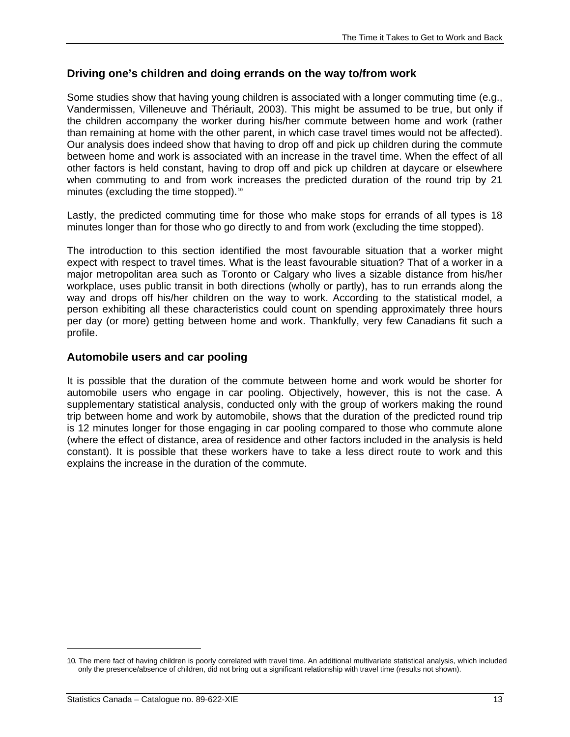#### <span id="page-14-0"></span>**Driving one's children and doing errands on the way to/from work**

Some studies show that having young children is associated with a longer commuting time (e.g., Vandermissen, Villeneuve and Thériault, 2003). This might be assumed to be true, but only if the children accompany the worker during his/her commute between home and work (rather than remaining at home with the other parent, in which case travel times would not be affected). Our analysis does indeed show that having to drop off and pick up children during the commute between home and work is associated with an increase in the travel time. When the effect of all other factors is held constant, having to drop off and pick up children at daycare or elsewhere when commuting to and from work increases the predicted duration of the round trip by 21 minutes (excluding the time stopped).<sup>[10](#page-14-1)</sup>

Lastly, the predicted commuting time for those who make stops for errands of all types is 18 minutes longer than for those who go directly to and from work (excluding the time stopped).

The introduction to this section identified the most favourable situation that a worker might expect with respect to travel times. What is the least favourable situation? That of a worker in a major metropolitan area such as Toronto or Calgary who lives a sizable distance from his/her workplace, uses public transit in both directions (wholly or partly), has to run errands along the way and drops off his/her children on the way to work. According to the statistical model, a person exhibiting all these characteristics could count on spending approximately three hours per day (or more) getting between home and work. Thankfully, very few Canadians fit such a profile.

#### **Automobile users and car pooling**

It is possible that the duration of the commute between home and work would be shorter for automobile users who engage in car pooling. Objectively, however, this is not the case. A supplementary statistical analysis, conducted only with the group of workers making the round trip between home and work by automobile, shows that the duration of the predicted round trip is 12 minutes longer for those engaging in car pooling compared to those who commute alone (where the effect of distance, area of residence and other factors included in the analysis is held constant). It is possible that these workers have to take a less direct route to work and this explains the increase in the duration of the commute.

-

<span id="page-14-1"></span><sup>10</sup>. The mere fact of having children is poorly correlated with travel time. An additional multivariate statistical analysis, which included only the presence/absence of children, did not bring out a significant relationship with travel time (results not shown).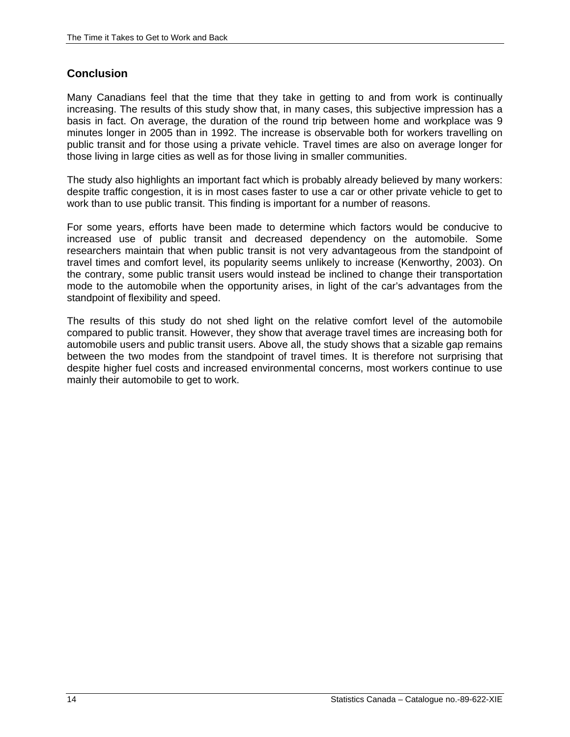#### <span id="page-15-0"></span>**Conclusion**

Many Canadians feel that the time that they take in getting to and from work is continually increasing. The results of this study show that, in many cases, this subjective impression has a basis in fact. On average, the duration of the round trip between home and workplace was 9 minutes longer in 2005 than in 1992. The increase is observable both for workers travelling on public transit and for those using a private vehicle. Travel times are also on average longer for those living in large cities as well as for those living in smaller communities.

The study also highlights an important fact which is probably already believed by many workers: despite traffic congestion, it is in most cases faster to use a car or other private vehicle to get to work than to use public transit. This finding is important for a number of reasons.

For some years, efforts have been made to determine which factors would be conducive to increased use of public transit and decreased dependency on the automobile. Some researchers maintain that when public transit is not very advantageous from the standpoint of travel times and comfort level, its popularity seems unlikely to increase (Kenworthy, 2003). On the contrary, some public transit users would instead be inclined to change their transportation mode to the automobile when the opportunity arises, in light of the car's advantages from the standpoint of flexibility and speed.

The results of this study do not shed light on the relative comfort level of the automobile compared to public transit. However, they show that average travel times are increasing both for automobile users and public transit users. Above all, the study shows that a sizable gap remains between the two modes from the standpoint of travel times. It is therefore not surprising that despite higher fuel costs and increased environmental concerns, most workers continue to use mainly their automobile to get to work.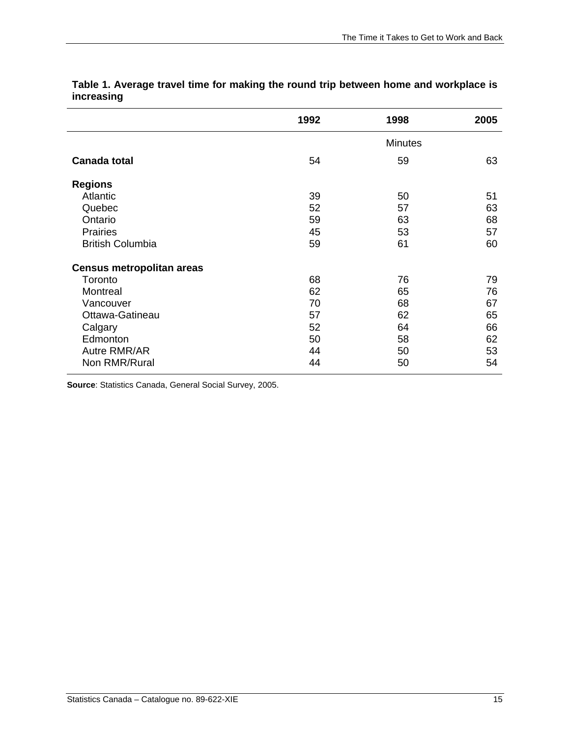|                                  | 1992 | 1998           | 2005 |
|----------------------------------|------|----------------|------|
|                                  |      | <b>Minutes</b> |      |
| <b>Canada total</b>              | 54   | 59             | 63   |
| <b>Regions</b>                   |      |                |      |
| Atlantic                         | 39   | 50             | 51   |
| Quebec                           | 52   | 57             | 63   |
| Ontario                          | 59   | 63             | 68   |
| <b>Prairies</b>                  | 45   | 53             | 57   |
| <b>British Columbia</b>          | 59   | 61             | 60   |
| <b>Census metropolitan areas</b> |      |                |      |
| Toronto                          | 68   | 76             | 79   |
| Montreal                         | 62   | 65             | 76   |
| Vancouver                        | 70   | 68             | 67   |
| Ottawa-Gatineau                  | 57   | 62             | 65   |
| Calgary                          | 52   | 64             | 66   |
| Edmonton                         | 50   | 58             | 62   |
| Autre RMR/AR                     | 44   | 50             | 53   |
| Non RMR/Rural                    | 44   | 50             | 54   |

**Table 1. Average travel time for making the round trip between home and workplace is increasing** 

**Source**: Statistics Canada, General Social Survey, 2005.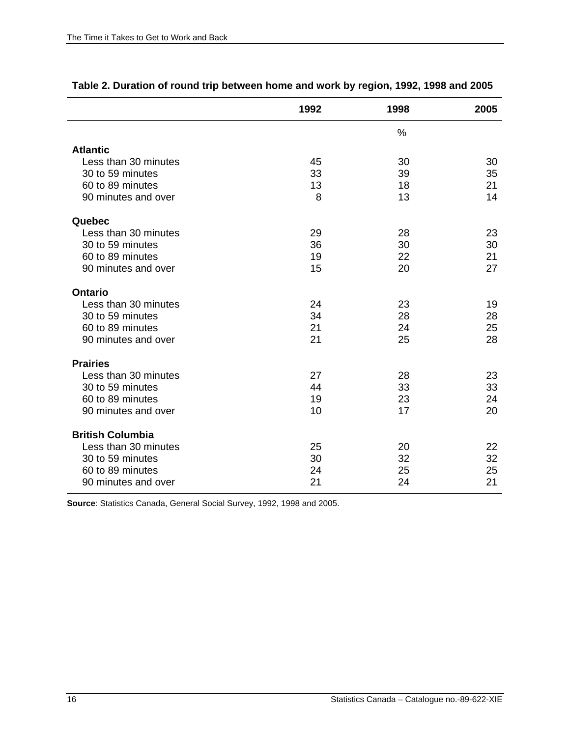|                         | 1992 | 1998 | 2005 |
|-------------------------|------|------|------|
|                         |      | $\%$ |      |
| <b>Atlantic</b>         |      |      |      |
| Less than 30 minutes    | 45   | 30   | 30   |
| 30 to 59 minutes        | 33   | 39   | 35   |
| 60 to 89 minutes        | 13   | 18   | 21   |
| 90 minutes and over     | 8    | 13   | 14   |
| Quebec                  |      |      |      |
| Less than 30 minutes    | 29   | 28   | 23   |
| 30 to 59 minutes        | 36   | 30   | 30   |
| 60 to 89 minutes        | 19   | 22   | 21   |
| 90 minutes and over     | 15   | 20   | 27   |
| <b>Ontario</b>          |      |      |      |
| Less than 30 minutes    | 24   | 23   | 19   |
| 30 to 59 minutes        | 34   | 28   | 28   |
| 60 to 89 minutes        | 21   | 24   | 25   |
| 90 minutes and over     | 21   | 25   | 28   |
| <b>Prairies</b>         |      |      |      |
| Less than 30 minutes    | 27   | 28   | 23   |
| 30 to 59 minutes        | 44   | 33   | 33   |
| 60 to 89 minutes        | 19   | 23   | 24   |
| 90 minutes and over     | 10   | 17   | 20   |
| <b>British Columbia</b> |      |      |      |
| Less than 30 minutes    | 25   | 20   | 22   |
| 30 to 59 minutes        | 30   | 32   | 32   |
| 60 to 89 minutes        | 24   | 25   | 25   |
| 90 minutes and over     | 21   | 24   | 21   |

#### **Table 2. Duration of round trip between home and work by region, 1992, 1998 and 2005**

**Source**: Statistics Canada, General Social Survey, 1992, 1998 and 2005.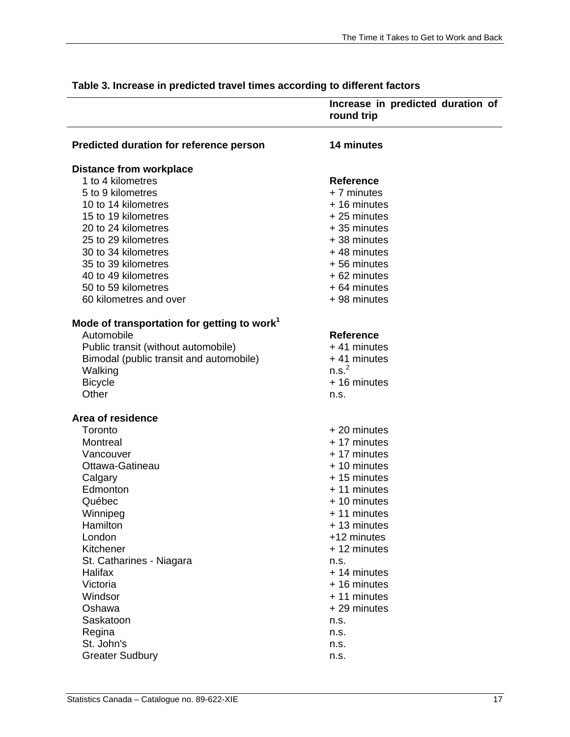| 14 minutes<br>Predicted duration for reference person<br><b>Distance from workplace</b><br>1 to 4 kilometres<br><b>Reference</b><br>+ 7 minutes<br>5 to 9 kilometres<br>10 to 14 kilometres<br>+ 16 minutes<br>15 to 19 kilometres<br>$+25$ minutes<br>20 to 24 kilometres<br>+35 minutes<br>25 to 29 kilometres<br>+38 minutes<br>30 to 34 kilometres<br>+48 minutes<br>35 to 39 kilometres<br>+56 minutes<br>40 to 49 kilometres<br>+62 minutes<br>50 to 59 kilometres<br>+64 minutes<br>60 kilometres and over<br>+98 minutes<br>Mode of transportation for getting to work <sup>1</sup><br>Automobile<br><b>Reference</b><br>+41 minutes<br>Public transit (without automobile)<br>Bimodal (public transit and automobile)<br>$+41$ minutes<br>n.s. <sup>2</sup><br>Walking<br>+ 16 minutes<br><b>Bicycle</b><br>Other<br>n.s.<br>Area of residence<br>Toronto<br>$+20$ minutes<br>+ 17 minutes<br>Montreal<br>+ 17 minutes<br>Vancouver<br>Ottawa-Gatineau<br>+ 10 minutes<br>Calgary<br>+15 minutes<br>Edmonton<br>+ 11 minutes<br>Québec<br>+ 10 minutes<br>Winnipeg<br>+ 11 minutes<br>Hamilton<br>+13 minutes<br>London<br>+12 minutes<br>+ 12 minutes<br>Kitchener<br>St. Catharines - Niagara<br>n.s.<br>Halifax<br>+ 14 minutes<br>Victoria<br>+ 16 minutes<br>+ 11 minutes<br>Windsor<br>Oshawa<br>+29 minutes<br>Saskatoon<br>n.s.<br>Regina<br>n.s.<br>St. John's<br>n.s. |                        | Increase in predicted duration of<br>round trip |
|------------------------------------------------------------------------------------------------------------------------------------------------------------------------------------------------------------------------------------------------------------------------------------------------------------------------------------------------------------------------------------------------------------------------------------------------------------------------------------------------------------------------------------------------------------------------------------------------------------------------------------------------------------------------------------------------------------------------------------------------------------------------------------------------------------------------------------------------------------------------------------------------------------------------------------------------------------------------------------------------------------------------------------------------------------------------------------------------------------------------------------------------------------------------------------------------------------------------------------------------------------------------------------------------------------------------------------------------------------------------------------------|------------------------|-------------------------------------------------|
|                                                                                                                                                                                                                                                                                                                                                                                                                                                                                                                                                                                                                                                                                                                                                                                                                                                                                                                                                                                                                                                                                                                                                                                                                                                                                                                                                                                          |                        |                                                 |
|                                                                                                                                                                                                                                                                                                                                                                                                                                                                                                                                                                                                                                                                                                                                                                                                                                                                                                                                                                                                                                                                                                                                                                                                                                                                                                                                                                                          |                        |                                                 |
|                                                                                                                                                                                                                                                                                                                                                                                                                                                                                                                                                                                                                                                                                                                                                                                                                                                                                                                                                                                                                                                                                                                                                                                                                                                                                                                                                                                          |                        |                                                 |
|                                                                                                                                                                                                                                                                                                                                                                                                                                                                                                                                                                                                                                                                                                                                                                                                                                                                                                                                                                                                                                                                                                                                                                                                                                                                                                                                                                                          |                        |                                                 |
|                                                                                                                                                                                                                                                                                                                                                                                                                                                                                                                                                                                                                                                                                                                                                                                                                                                                                                                                                                                                                                                                                                                                                                                                                                                                                                                                                                                          |                        |                                                 |
|                                                                                                                                                                                                                                                                                                                                                                                                                                                                                                                                                                                                                                                                                                                                                                                                                                                                                                                                                                                                                                                                                                                                                                                                                                                                                                                                                                                          |                        |                                                 |
|                                                                                                                                                                                                                                                                                                                                                                                                                                                                                                                                                                                                                                                                                                                                                                                                                                                                                                                                                                                                                                                                                                                                                                                                                                                                                                                                                                                          |                        |                                                 |
|                                                                                                                                                                                                                                                                                                                                                                                                                                                                                                                                                                                                                                                                                                                                                                                                                                                                                                                                                                                                                                                                                                                                                                                                                                                                                                                                                                                          |                        |                                                 |
|                                                                                                                                                                                                                                                                                                                                                                                                                                                                                                                                                                                                                                                                                                                                                                                                                                                                                                                                                                                                                                                                                                                                                                                                                                                                                                                                                                                          |                        |                                                 |
|                                                                                                                                                                                                                                                                                                                                                                                                                                                                                                                                                                                                                                                                                                                                                                                                                                                                                                                                                                                                                                                                                                                                                                                                                                                                                                                                                                                          |                        |                                                 |
|                                                                                                                                                                                                                                                                                                                                                                                                                                                                                                                                                                                                                                                                                                                                                                                                                                                                                                                                                                                                                                                                                                                                                                                                                                                                                                                                                                                          |                        |                                                 |
|                                                                                                                                                                                                                                                                                                                                                                                                                                                                                                                                                                                                                                                                                                                                                                                                                                                                                                                                                                                                                                                                                                                                                                                                                                                                                                                                                                                          |                        |                                                 |
|                                                                                                                                                                                                                                                                                                                                                                                                                                                                                                                                                                                                                                                                                                                                                                                                                                                                                                                                                                                                                                                                                                                                                                                                                                                                                                                                                                                          |                        |                                                 |
|                                                                                                                                                                                                                                                                                                                                                                                                                                                                                                                                                                                                                                                                                                                                                                                                                                                                                                                                                                                                                                                                                                                                                                                                                                                                                                                                                                                          |                        |                                                 |
|                                                                                                                                                                                                                                                                                                                                                                                                                                                                                                                                                                                                                                                                                                                                                                                                                                                                                                                                                                                                                                                                                                                                                                                                                                                                                                                                                                                          |                        |                                                 |
|                                                                                                                                                                                                                                                                                                                                                                                                                                                                                                                                                                                                                                                                                                                                                                                                                                                                                                                                                                                                                                                                                                                                                                                                                                                                                                                                                                                          |                        |                                                 |
|                                                                                                                                                                                                                                                                                                                                                                                                                                                                                                                                                                                                                                                                                                                                                                                                                                                                                                                                                                                                                                                                                                                                                                                                                                                                                                                                                                                          |                        |                                                 |
|                                                                                                                                                                                                                                                                                                                                                                                                                                                                                                                                                                                                                                                                                                                                                                                                                                                                                                                                                                                                                                                                                                                                                                                                                                                                                                                                                                                          |                        |                                                 |
|                                                                                                                                                                                                                                                                                                                                                                                                                                                                                                                                                                                                                                                                                                                                                                                                                                                                                                                                                                                                                                                                                                                                                                                                                                                                                                                                                                                          |                        |                                                 |
|                                                                                                                                                                                                                                                                                                                                                                                                                                                                                                                                                                                                                                                                                                                                                                                                                                                                                                                                                                                                                                                                                                                                                                                                                                                                                                                                                                                          |                        |                                                 |
|                                                                                                                                                                                                                                                                                                                                                                                                                                                                                                                                                                                                                                                                                                                                                                                                                                                                                                                                                                                                                                                                                                                                                                                                                                                                                                                                                                                          |                        |                                                 |
|                                                                                                                                                                                                                                                                                                                                                                                                                                                                                                                                                                                                                                                                                                                                                                                                                                                                                                                                                                                                                                                                                                                                                                                                                                                                                                                                                                                          |                        |                                                 |
|                                                                                                                                                                                                                                                                                                                                                                                                                                                                                                                                                                                                                                                                                                                                                                                                                                                                                                                                                                                                                                                                                                                                                                                                                                                                                                                                                                                          |                        |                                                 |
|                                                                                                                                                                                                                                                                                                                                                                                                                                                                                                                                                                                                                                                                                                                                                                                                                                                                                                                                                                                                                                                                                                                                                                                                                                                                                                                                                                                          |                        |                                                 |
|                                                                                                                                                                                                                                                                                                                                                                                                                                                                                                                                                                                                                                                                                                                                                                                                                                                                                                                                                                                                                                                                                                                                                                                                                                                                                                                                                                                          |                        |                                                 |
|                                                                                                                                                                                                                                                                                                                                                                                                                                                                                                                                                                                                                                                                                                                                                                                                                                                                                                                                                                                                                                                                                                                                                                                                                                                                                                                                                                                          |                        |                                                 |
|                                                                                                                                                                                                                                                                                                                                                                                                                                                                                                                                                                                                                                                                                                                                                                                                                                                                                                                                                                                                                                                                                                                                                                                                                                                                                                                                                                                          |                        |                                                 |
|                                                                                                                                                                                                                                                                                                                                                                                                                                                                                                                                                                                                                                                                                                                                                                                                                                                                                                                                                                                                                                                                                                                                                                                                                                                                                                                                                                                          |                        |                                                 |
|                                                                                                                                                                                                                                                                                                                                                                                                                                                                                                                                                                                                                                                                                                                                                                                                                                                                                                                                                                                                                                                                                                                                                                                                                                                                                                                                                                                          |                        |                                                 |
|                                                                                                                                                                                                                                                                                                                                                                                                                                                                                                                                                                                                                                                                                                                                                                                                                                                                                                                                                                                                                                                                                                                                                                                                                                                                                                                                                                                          |                        |                                                 |
|                                                                                                                                                                                                                                                                                                                                                                                                                                                                                                                                                                                                                                                                                                                                                                                                                                                                                                                                                                                                                                                                                                                                                                                                                                                                                                                                                                                          |                        |                                                 |
|                                                                                                                                                                                                                                                                                                                                                                                                                                                                                                                                                                                                                                                                                                                                                                                                                                                                                                                                                                                                                                                                                                                                                                                                                                                                                                                                                                                          |                        |                                                 |
|                                                                                                                                                                                                                                                                                                                                                                                                                                                                                                                                                                                                                                                                                                                                                                                                                                                                                                                                                                                                                                                                                                                                                                                                                                                                                                                                                                                          |                        |                                                 |
|                                                                                                                                                                                                                                                                                                                                                                                                                                                                                                                                                                                                                                                                                                                                                                                                                                                                                                                                                                                                                                                                                                                                                                                                                                                                                                                                                                                          |                        |                                                 |
|                                                                                                                                                                                                                                                                                                                                                                                                                                                                                                                                                                                                                                                                                                                                                                                                                                                                                                                                                                                                                                                                                                                                                                                                                                                                                                                                                                                          |                        |                                                 |
|                                                                                                                                                                                                                                                                                                                                                                                                                                                                                                                                                                                                                                                                                                                                                                                                                                                                                                                                                                                                                                                                                                                                                                                                                                                                                                                                                                                          |                        |                                                 |
|                                                                                                                                                                                                                                                                                                                                                                                                                                                                                                                                                                                                                                                                                                                                                                                                                                                                                                                                                                                                                                                                                                                                                                                                                                                                                                                                                                                          |                        |                                                 |
|                                                                                                                                                                                                                                                                                                                                                                                                                                                                                                                                                                                                                                                                                                                                                                                                                                                                                                                                                                                                                                                                                                                                                                                                                                                                                                                                                                                          |                        |                                                 |
|                                                                                                                                                                                                                                                                                                                                                                                                                                                                                                                                                                                                                                                                                                                                                                                                                                                                                                                                                                                                                                                                                                                                                                                                                                                                                                                                                                                          |                        |                                                 |
|                                                                                                                                                                                                                                                                                                                                                                                                                                                                                                                                                                                                                                                                                                                                                                                                                                                                                                                                                                                                                                                                                                                                                                                                                                                                                                                                                                                          |                        |                                                 |
|                                                                                                                                                                                                                                                                                                                                                                                                                                                                                                                                                                                                                                                                                                                                                                                                                                                                                                                                                                                                                                                                                                                                                                                                                                                                                                                                                                                          | <b>Greater Sudbury</b> | n.s.                                            |

### **Table 3. Increase in predicted travel times according to different factors**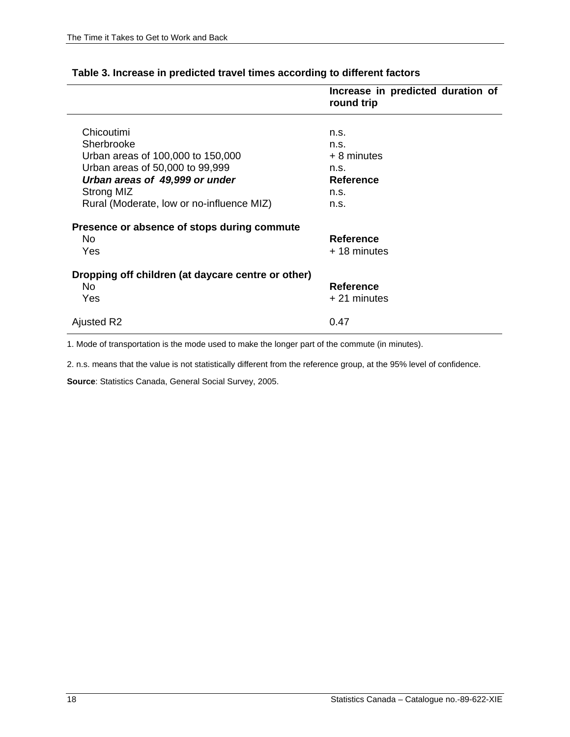|                                                    | Increase in predicted duration of<br>round trip |
|----------------------------------------------------|-------------------------------------------------|
|                                                    |                                                 |
| Chicoutimi                                         | n.s.                                            |
| Sherbrooke                                         | n.s.                                            |
| Urban areas of 100,000 to 150,000                  | $+8$ minutes                                    |
| Urban areas of 50,000 to 99,999                    | n.S.                                            |
| Urban areas of 49,999 or under                     | <b>Reference</b>                                |
| Strong MIZ                                         | n.S.                                            |
| Rural (Moderate, low or no-influence MIZ)          | n.S.                                            |
| Presence or absence of stops during commute        |                                                 |
| No.                                                | <b>Reference</b>                                |
| <b>Yes</b>                                         | + 18 minutes                                    |
| Dropping off children (at daycare centre or other) |                                                 |
| No.                                                | <b>Reference</b>                                |
| Yes                                                | $+21$ minutes                                   |
| Ajusted R2                                         | 0.47                                            |

#### **Table 3. Increase in predicted travel times according to different factors**

1. Mode of transportation is the mode used to make the longer part of the commute (in minutes).

2. n.s. means that the value is not statistically different from the reference group, at the 95% level of confidence.

**Source**: Statistics Canada, General Social Survey, 2005.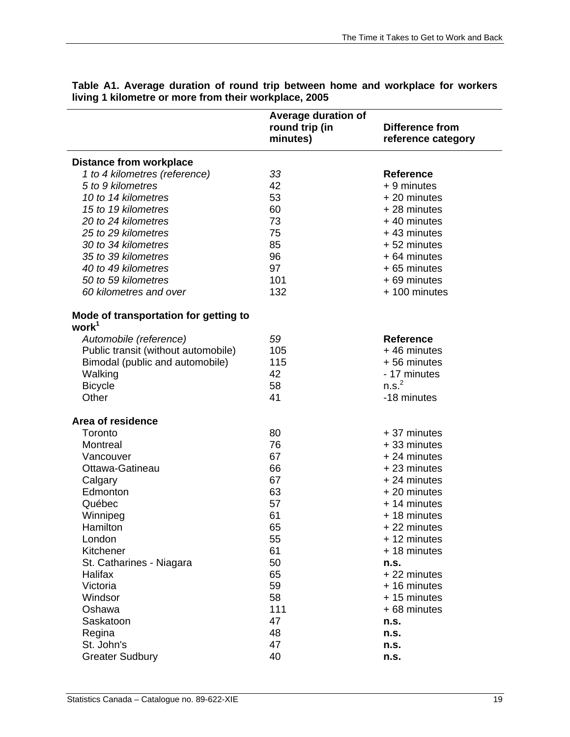|                                                            | <b>Average duration of</b> |                        |
|------------------------------------------------------------|----------------------------|------------------------|
|                                                            | round trip (in             | <b>Difference from</b> |
|                                                            | minutes)                   | reference category     |
| <b>Distance from workplace</b>                             |                            |                        |
| 1 to 4 kilometres (reference)                              | 33                         | <b>Reference</b>       |
| 5 to 9 kilometres                                          | 42                         | $+9$ minutes           |
| 10 to 14 kilometres                                        | 53                         | + 20 minutes           |
| 15 to 19 kilometres                                        | 60                         | $+28$ minutes          |
| 20 to 24 kilometres                                        | 73                         | $+40$ minutes          |
| 25 to 29 kilometres                                        | 75                         | +43 minutes            |
| 30 to 34 kilometres                                        | 85                         | +52 minutes            |
| 35 to 39 kilometres                                        | 96                         | $+64$ minutes          |
| 40 to 49 kilometres                                        | 97                         | +65 minutes            |
| 50 to 59 kilometres                                        | 101                        | +69 minutes            |
| 60 kilometres and over                                     | 132                        | + 100 minutes          |
|                                                            |                            |                        |
| Mode of transportation for getting to<br>work <sup>1</sup> |                            |                        |
| Automobile (reference)                                     | 59                         | <b>Reference</b>       |
| Public transit (without automobile)                        | 105                        | +46 minutes            |
| Bimodal (public and automobile)                            | 115                        | +56 minutes            |
| Walking                                                    | 42                         | - 17 minutes           |
| <b>Bicycle</b>                                             | 58                         | n.s. <sup>2</sup>      |
| Other                                                      | 41                         | -18 minutes            |
|                                                            |                            |                        |
| Area of residence                                          |                            |                        |
| Toronto                                                    | 80                         | + 37 minutes           |
| Montreal                                                   | 76                         | +33 minutes            |
| Vancouver                                                  | 67                         | $+24$ minutes          |
| Ottawa-Gatineau                                            | 66                         | +23 minutes            |
| Calgary                                                    | 67                         | $+24$ minutes          |
| Edmonton                                                   | 63                         | + 20 minutes           |
| Québec                                                     | 57                         | + 14 minutes           |
| Winnipeg                                                   | 61                         | +18 minutes            |
| Hamilton                                                   | 65                         | +22 minutes            |
| London                                                     | 55                         | + 12 minutes           |
| Kitchener                                                  | 61                         | +18 minutes            |
| St. Catharines - Niagara                                   | 50                         | n.s.                   |
| Halifax                                                    | 65                         | +22 minutes            |
| Victoria                                                   | 59                         | + 16 minutes           |
| Windsor                                                    | 58                         | + 15 minutes           |
| Oshawa                                                     | 111                        | +68 minutes            |
| Saskatoon                                                  | 47                         | n.s.                   |
| Regina                                                     | 48                         | n.s.                   |
| St. John's                                                 | 47                         | n.s.                   |
| <b>Greater Sudbury</b>                                     | 40                         | n.s.                   |

**Table A1. Average duration of round trip between home and workplace for workers living 1 kilometre or more from their workplace, 2005**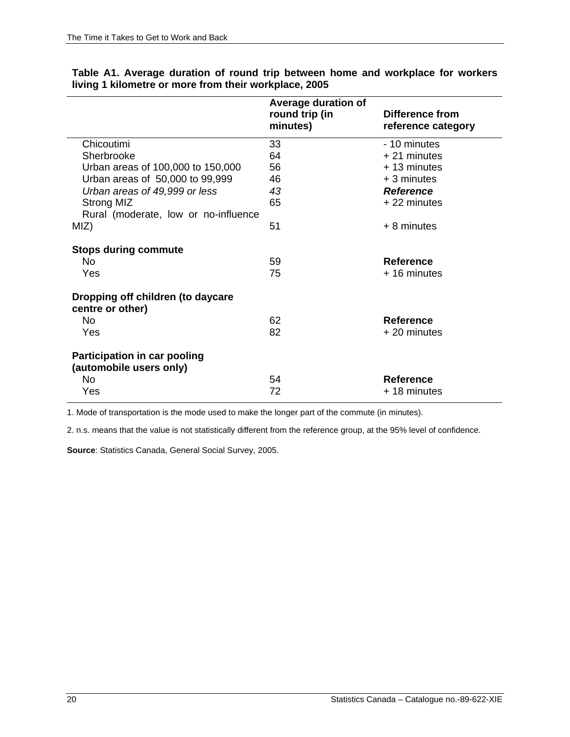|                                                                | Average duration of<br>round trip (in<br>minutes) | Difference from<br>reference category |
|----------------------------------------------------------------|---------------------------------------------------|---------------------------------------|
| Chicoutimi                                                     | 33                                                | - 10 minutes                          |
| Sherbrooke                                                     | 64                                                | $+21$ minutes                         |
| Urban areas of 100,000 to 150,000                              | 56                                                | $+13$ minutes                         |
| Urban areas of 50,000 to 99,999                                | 46                                                | $+3$ minutes                          |
| Urban areas of 49,999 or less                                  | 43                                                | <b>Reference</b>                      |
| Strong MIZ                                                     | 65                                                | $+22$ minutes                         |
| Rural (moderate, low or no-influence                           |                                                   |                                       |
| MIZ)                                                           | 51                                                | $+8$ minutes                          |
| <b>Stops during commute</b>                                    |                                                   |                                       |
| No.                                                            | 59                                                | <b>Reference</b>                      |
| Yes                                                            | 75                                                | + 16 minutes                          |
| Dropping off children (to daycare<br>centre or other)          |                                                   |                                       |
| No.                                                            | 62                                                | <b>Reference</b>                      |
| Yes                                                            | 82                                                | + 20 minutes                          |
| <b>Participation in car pooling</b><br>(automobile users only) |                                                   |                                       |
| N <sub>0</sub>                                                 | 54                                                | <b>Reference</b>                      |
| Yes                                                            | 72                                                | +18 minutes                           |

#### **Table A1. Average duration of round trip between home and workplace for workers living 1 kilometre or more from their workplace, 2005**

1. Mode of transportation is the mode used to make the longer part of the commute (in minutes).

2. n.s. means that the value is not statistically different from the reference group, at the 95% level of confidence.

**Source**: Statistics Canada, General Social Survey, 2005.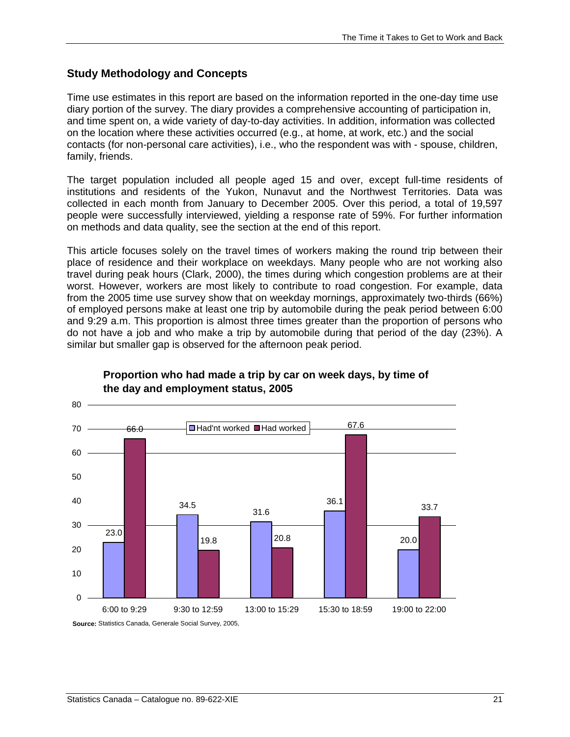#### <span id="page-22-0"></span>**Study Methodology and Concepts**

Time use estimates in this report are based on the information reported in the one-day time use diary portion of the survey. The diary provides a comprehensive accounting of participation in, and time spent on, a wide variety of day-to-day activities. In addition, information was collected on the location where these activities occurred (e.g., at home, at work, etc.) and the social contacts (for non-personal care activities), i.e., who the respondent was with - spouse, children, family, friends.

The target population included all people aged 15 and over, except full-time residents of institutions and residents of the Yukon, Nunavut and the Northwest Territories. Data was collected in each month from January to December 2005. Over this period, a total of 19,597 people were successfully interviewed, yielding a response rate of 59%. For further information on methods and data quality, see the section at the end of this report.

This article focuses solely on the travel times of workers making the round trip between their place of residence and their workplace on weekdays. Many people who are not working also travel during peak hours (Clark, 2000), the times during which congestion problems are at their worst. However, workers are most likely to contribute to road congestion. For example, data from the 2005 time use survey show that on weekday mornings, approximately two-thirds (66%) of employed persons make at least one trip by automobile during the peak period between 6:00 and 9:29 a.m. This proportion is almost three times greater than the proportion of persons who do not have a job and who make a trip by automobile during that period of the day (23%). A similar but smaller gap is observed for the afternoon peak period.



#### **Proportion who had made a trip by car on week days, by time of the day and employment status, 2005**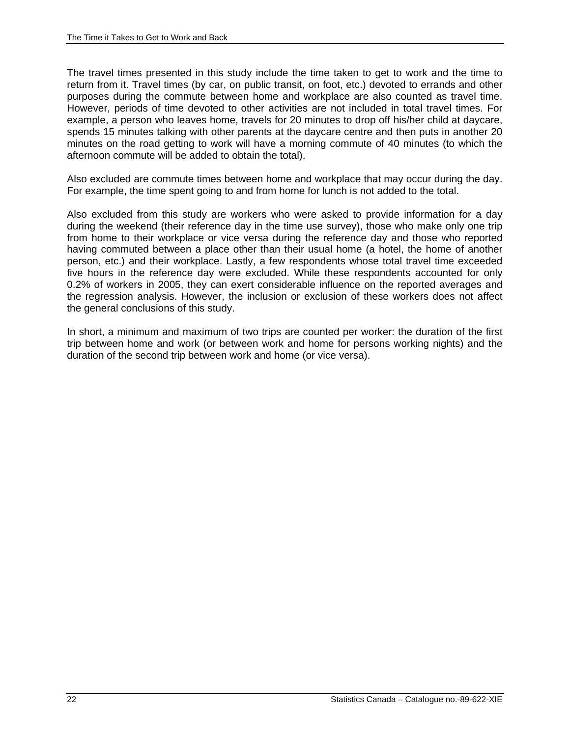The travel times presented in this study include the time taken to get to work and the time to return from it. Travel times (by car, on public transit, on foot, etc.) devoted to errands and other purposes during the commute between home and workplace are also counted as travel time. However, periods of time devoted to other activities are not included in total travel times. For example, a person who leaves home, travels for 20 minutes to drop off his/her child at daycare, spends 15 minutes talking with other parents at the daycare centre and then puts in another 20 minutes on the road getting to work will have a morning commute of 40 minutes (to which the afternoon commute will be added to obtain the total).

Also excluded are commute times between home and workplace that may occur during the day. For example, the time spent going to and from home for lunch is not added to the total.

Also excluded from this study are workers who were asked to provide information for a day during the weekend (their reference day in the time use survey), those who make only one trip from home to their workplace or vice versa during the reference day and those who reported having commuted between a place other than their usual home (a hotel, the home of another person, etc.) and their workplace. Lastly, a few respondents whose total travel time exceeded five hours in the reference day were excluded. While these respondents accounted for only 0.2% of workers in 2005, they can exert considerable influence on the reported averages and the regression analysis. However, the inclusion or exclusion of these workers does not affect the general conclusions of this study.

In short, a minimum and maximum of two trips are counted per worker: the duration of the first trip between home and work (or between work and home for persons working nights) and the duration of the second trip between work and home (or vice versa).